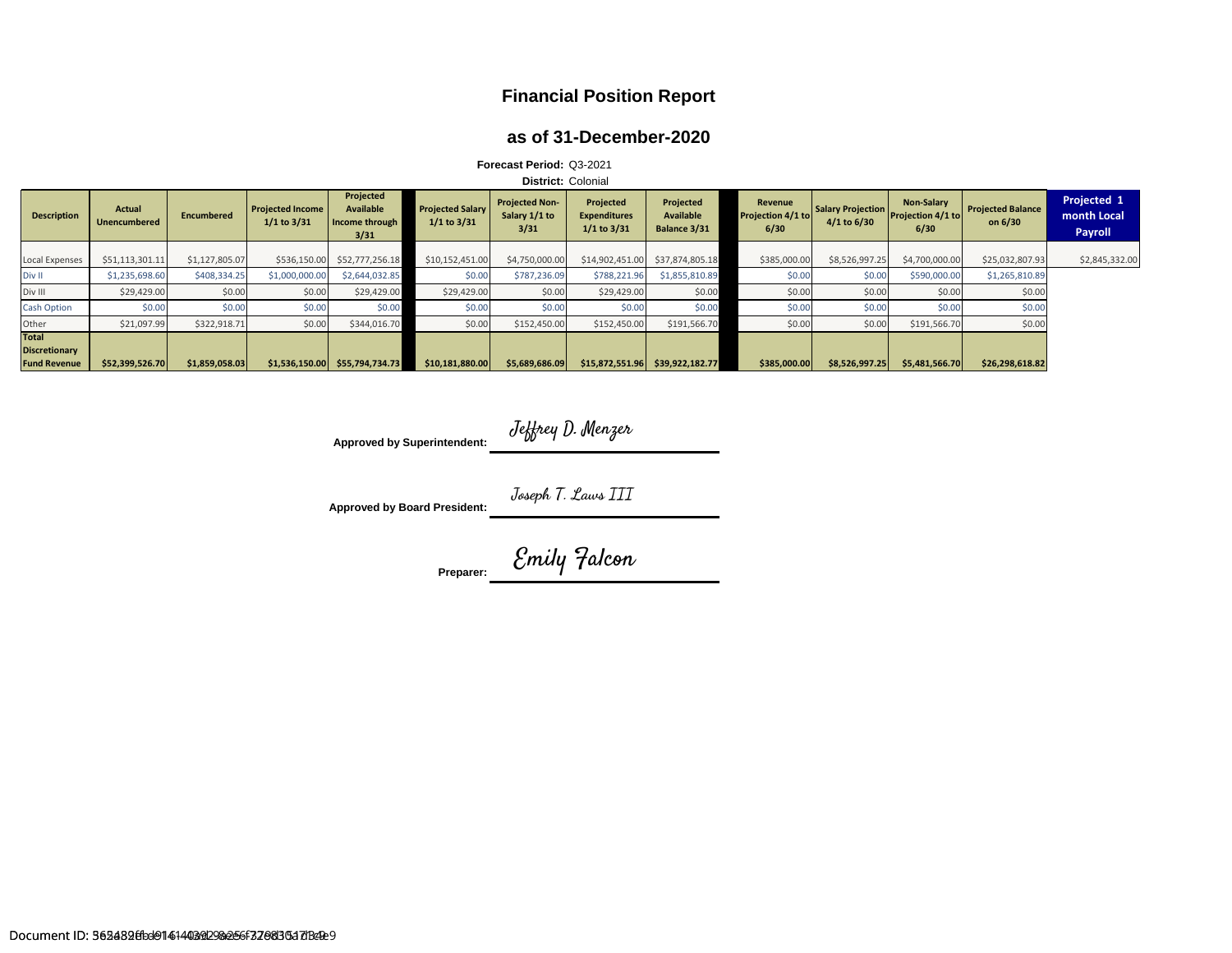## **Financial Position Report**

### **as of 31-December-2020**

| Forecast Period: Q3-2021                                    |                        |                |                                            |                                                  |                                            |                                                |                                                     |                                               |                                      |                                  |                                                |                                     |                                       |
|-------------------------------------------------------------|------------------------|----------------|--------------------------------------------|--------------------------------------------------|--------------------------------------------|------------------------------------------------|-----------------------------------------------------|-----------------------------------------------|--------------------------------------|----------------------------------|------------------------------------------------|-------------------------------------|---------------------------------------|
| <b>District: Colonial</b>                                   |                        |                |                                            |                                                  |                                            |                                                |                                                     |                                               |                                      |                                  |                                                |                                     |                                       |
| <b>Description</b>                                          | Actual<br>Unencumbered | Encumbered     | <b>Projected Income</b><br>$1/1$ to $3/31$ | Projected<br>Available<br>Income through<br>3/31 | <b>Projected Salary</b><br>$1/1$ to $3/31$ | <b>Projected Non-</b><br>Salary 1/1 to<br>3/31 | Projected<br><b>Expenditures</b><br>$1/1$ to $3/31$ | Projected<br><b>Available</b><br>Balance 3/31 | Revenue<br>Projection 4/1 to<br>6/30 | Salary Projection<br>4/1 to 6/30 | <b>Non-Salary</b><br>Projection 4/1 to<br>6/30 | <b>Projected Balance</b><br>on 6/30 | Projected 1<br>month Local<br>Payroll |
| <b>Local Expenses</b>                                       | \$51,113,301.11        | \$1,127,805.07 | \$536,150.00                               | \$52,777,256.18                                  | \$10,152,451.00                            | \$4,750,000.00                                 | \$14,902,451.00                                     | \$37,874,805.18                               | \$385,000.00                         | \$8,526,997.25                   | \$4,700,000.00                                 | \$25,032,807.93                     | \$2,845,332.00                        |
| Div II                                                      | \$1,235,698.60         | \$408,334.25   | \$1,000,000.00                             | \$2,644,032.85                                   | \$0.00                                     | \$787,236.09                                   | \$788,221.96                                        | \$1,855,810.89                                | \$0.00                               | \$0.00                           | \$590,000.00                                   | \$1,265,810.89                      |                                       |
| Div III                                                     | \$29,429.00            | \$0.00         | \$0.00                                     | \$29,429.00                                      | \$29,429.00                                | \$0.00                                         | \$29,429.00                                         | \$0.00                                        | \$0.00                               | \$0.00                           | \$0.00                                         | \$0.00                              |                                       |
| <b>Cash Option</b>                                          | \$0.00                 | \$0.00         | \$0.00                                     | \$0.00                                           | \$0.00                                     | \$0.00                                         | \$0.00                                              | \$0.00                                        | \$0.00                               | \$0.00                           | \$0.00                                         | \$0.00                              |                                       |
| Other                                                       | \$21,097.99            | \$322,918.71   | \$0.00                                     | \$344,016.70                                     | \$0.00                                     | \$152,450.00                                   | \$152,450.00                                        | \$191,566.70                                  | \$0.00                               | \$0.00                           | \$191,566.70                                   | \$0.00                              |                                       |
| <b>Total</b><br><b>Discretionary</b><br><b>Fund Revenue</b> | \$52,399,526.70        | \$1,859,058.03 | \$1,536,150.00                             | \$55,794,734.73                                  | \$10,181,880.00                            | \$5,689,686.09                                 | \$15,872,551.96                                     | \$39,922,182.77                               | \$385,000.00                         | \$8,526,997.25                   | \$5,481,566.70                                 | \$26,298,618.82                     |                                       |

Approved by Superintendent: Jeffrey D. Menzer

**Approved by Board President:** Joseph T. Laws III

*Preparer: <u><i>Cmily Falcon</u>*</u>